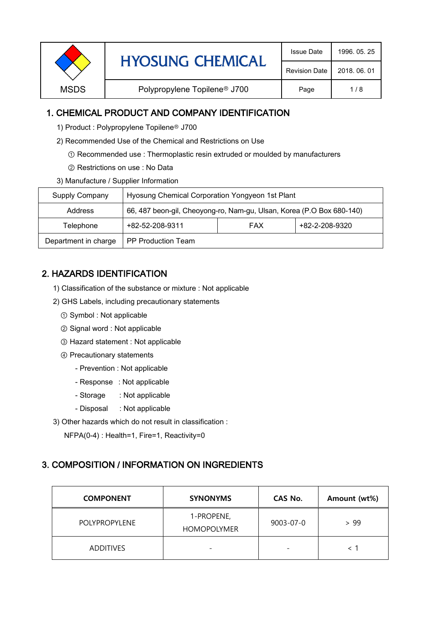| <b>Revision Date</b><br>2018, 06, 01<br>Polypropylene Topilene <sup>®</sup> J700<br><b>MSDS</b><br>Page<br>1/8 |  | <b>HYOSUNG CHEMICAL</b> | <b>Issue Date</b> | 1996, 05, 25 |
|----------------------------------------------------------------------------------------------------------------|--|-------------------------|-------------------|--------------|
|                                                                                                                |  |                         |                   |              |
|                                                                                                                |  |                         |                   |              |

### 1. CHEMICAL PRODUCT AND COMPANY IDENTIFICATION

- 1) Product : Polypropylene Topilene<sup>®</sup> J700
- 2) Recommended Use of the Chemical and Restrictions on Use
	- ① Recommended use : Thermoplastic resin extruded or moulded by manufacturers
	- ② Restrictions on use : No Data
- 3) Manufacture / Supplier Information

| Supply Company       | Hyosung Chemical Corporation Yongyeon 1st Plant                       |            |                |  |
|----------------------|-----------------------------------------------------------------------|------------|----------------|--|
| Address              | 66, 487 beon-gil, Cheoyong-ro, Nam-gu, Ulsan, Korea (P.O Box 680-140) |            |                |  |
| Telephone            | +82-52-208-9311                                                       | <b>FAX</b> | +82-2-208-9320 |  |
| Department in charge | <b>PP Production Team</b>                                             |            |                |  |

# 2. HAZARDS IDENTIFICATION

- 1) Classification of the substance or mixture : Not applicable
- 2) GHS Labels, including precautionary statements
	- ① Symbol : Not applicable
	- ② Signal word : Not applicable
	- ③ Hazard statement : Not applicable
	- ④ Precautionary statements
		- Prevention : Not applicable
		- Response : Not applicable
		- Storage : Not applicable
		- Disposal : Not applicable
- 3) Other hazards which do not result in classification :

NFPA(0-4) : Health=1, Fire=1, Reactivity=0

#### 3. COMPOSITION / INFORMATION ON INGREDIENTS

| <b>COMPONENT</b> | <b>SYNONYMS</b>                  | CAS No.                  | Amount (wt%) |
|------------------|----------------------------------|--------------------------|--------------|
| POLYPROPYLENE    | 1-PROPENE,<br><b>HOMOPOLYMER</b> | 9003-07-0                | > 99         |
| <b>ADDITIVES</b> |                                  | $\overline{\phantom{0}}$ |              |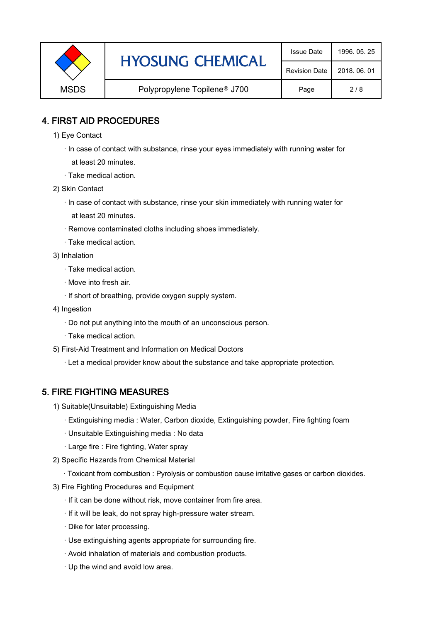|             | <b>HYOSUNG CHEMICAL</b>                  | <b>Issue Date</b>    | 1996, 05, 25 |
|-------------|------------------------------------------|----------------------|--------------|
|             |                                          | <b>Revision Date</b> | 2018, 06, 01 |
| <b>MSDS</b> | Polypropylene Topilene <sup>®</sup> J700 | Page                 | 2/8          |

### 4. FIRST AID PROCEDURES

- 1) Eye Contact
	- · In case of contact with substance, rinse your eyes immediately with running water for at least 20 minutes.
	- · Take medical action.
- 2) Skin Contact
	- · In case of contact with substance, rinse your skin immediately with running water for at least 20 minutes.
	- · Remove contaminated cloths including shoes immediately.
	- · Take medical action.
- 3) Inhalation
	- · Take medical action.
	- · Move into fresh air.
	- · If short of breathing, provide oxygen supply system.
- 4) Ingestion
	- · Do not put anything into the mouth of an unconscious person.
	- · Take medical action.
- 5) First-Aid Treatment and Information on Medical Doctors
	- · Let a medical provider know about the substance and take appropriate protection.

#### 5. FIRE FIGHTING MEASURES

- 1) Suitable(Unsuitable) Extinguishing Media
	- · Extinguishing media : Water, Carbon dioxide, Extinguishing powder, Fire fighting foam
	- · Unsuitable Extinguishing media : No data
	- · Large fire : Fire fighting, Water spray
- 2) Specific Hazards from Chemical Material
	- · Toxicant from combustion : Pyrolysis or combustion cause irritative gases or carbon dioxides.
- 3) Fire Fighting Procedures and Equipment
	- · If it can be done without risk, move container from fire area.
	- · If it will be leak, do not spray high-pressure water stream.
	- · Dike for later processing.
	- · Use extinguishing agents appropriate for surrounding fire.
	- · Avoid inhalation of materials and combustion products.
	- · Up the wind and avoid low area.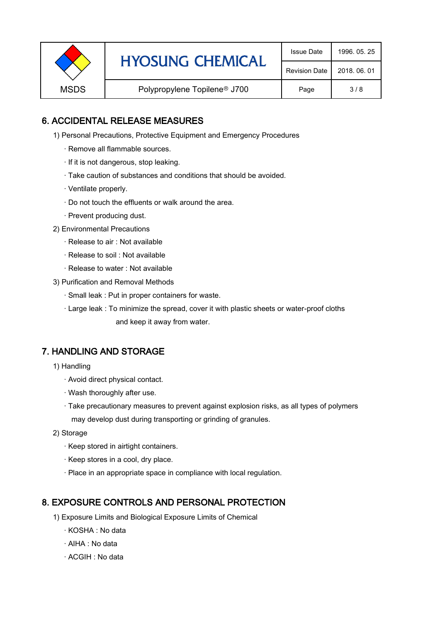|             | <b>HYOSUNG CHEMICAL</b>                  | <b>Issue Date</b>    | 1996, 05, 25 |
|-------------|------------------------------------------|----------------------|--------------|
|             |                                          | <b>Revision Date</b> | 2018, 06, 01 |
| <b>MSDS</b> | Polypropylene Topilene <sup>®</sup> J700 | Page                 | 3/8          |

### 6. ACCIDENTAL RELEASE MEASURES

- 1) Personal Precautions, Protective Equipment and Emergency Procedures
	- · Remove all flammable sources.
	- · If it is not dangerous, stop leaking.
	- · Take caution of substances and conditions that should be avoided.
	- · Ventilate properly.
	- · Do not touch the effluents or walk around the area.
	- · Prevent producing dust.
- 2) Environmental Precautions
	- · Release to air : Not available
	- · Release to soil : Not available
	- · Release to water : Not available
- 3) Purification and Removal Methods
	- · Small leak : Put in proper containers for waste.
	- · Large leak : To minimize the spread, cover it with plastic sheets or water-proof cloths and keep it away from water.

#### 7. HANDLING AND STORAGE

- 1) Handling
	- · Avoid direct physical contact.
	- · Wash thoroughly after use.
	- · Take precautionary measures to prevent against explosion risks, as all types of polymers may develop dust during transporting or grinding of granules.
- 2) Storage
	- · Keep stored in airtight containers.
	- · Keep stores in a cool, dry place.
	- · Place in an appropriate space in compliance with local regulation.

#### 8. EXPOSURE CONTROLS AND PERSONAL PROTECTION

- 1) Exposure Limits and Biological Exposure Limits of Chemical
	- · KOSHA : No data
	- · AIHA : No data
	- · ACGIH : No data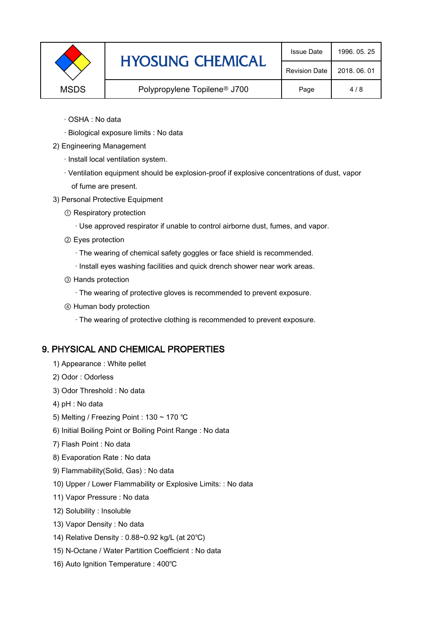| <b>HYOSUNG CHEMICAL</b><br><b>Revision Date</b>                 | 2018, 06, 01 |
|-----------------------------------------------------------------|--------------|
| Polypropylene Topilene <sup>®</sup> J700<br><b>MSDS</b><br>Page | 4/8          |

- · OSHA : No data
- · Biological exposure limits : No data
- 2) Engineering Management
	- · Install local ventilation system.
	- · Ventilation equipment should be explosion-proof if explosive concentrations of dust, vapor of fume are present.
- 3) Personal Protective Equipment
	- ① Respiratory protection
		- · Use approved respirator if unable to control airborne dust, fumes, and vapor.
	- ② Eyes protection
		- · The wearing of chemical safety goggles or face shield is recommended.
		- · Install eyes washing facilities and quick drench shower near work areas.
	- ③ Hands protection
		- · The wearing of protective gloves is recommended to prevent exposure.
	- ④ Human body protection
		- · The wearing of protective clothing is recommended to prevent exposure.

#### 9. PHYSICAL AND CHEMICAL PROPERTIES

- 1) Appearance : White pellet
- 2) Odor : Odorless
- 3) Odor Threshold : No data
- 4) pH : No data
- 5) Melting / Freezing Point : 130 ~ 170 ℃
- 6) Initial Boiling Point or Boiling Point Range : No data
- 7) Flash Point : No data
- 8) Evaporation Rate : No data
- 9) Flammability(Solid, Gas) : No data
- 10) Upper / Lower Flammability or Explosive Limits: : No data
- 11) Vapor Pressure : No data
- 12) Solubility : Insoluble
- 13) Vapor Density : No data
- 14) Relative Density : 0.88~0.92 kg/L (at 20℃)
- 15) N-Octane / Water Partition Coefficient : No data
- 16) Auto Ignition Temperature : 400℃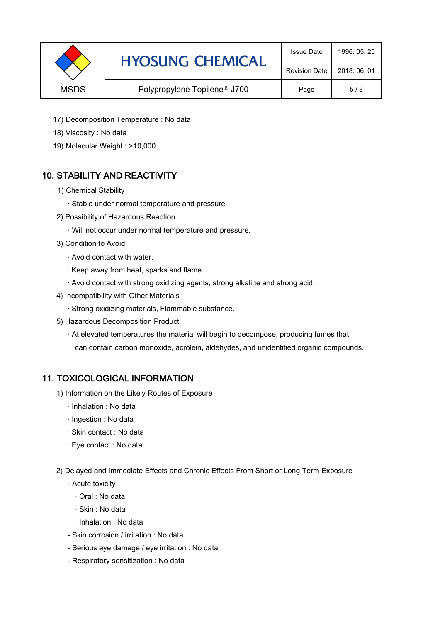|             | <b>HYOSUNG CHEMICAL</b>                  | <b>Issue Date</b>    | 1996, 05, 25 |
|-------------|------------------------------------------|----------------------|--------------|
|             |                                          | <b>Revision Date</b> | 2018, 06, 01 |
| <b>MSDS</b> | Polypropylene Topilene <sup>®</sup> J700 | Page                 | 5/8          |

- 17) Decomposition Temperature : No data
- 18) Viscosity : No data
- 19) Molecular Weight : >10,000

# 10. STABILITY AND REACTIVITY

- 1) Chemical Stability
	- · Stable under normal temperature and pressure.
- 2) Possibility of Hazardous Reaction
	- · Will not occur under normal temperature and pressure.
- 3) Condition to Avoid
	- · Avoid contact with water.
	- · Keep away from heat, sparks and flame.
	- · Avoid contact with strong oxidizing agents, strong alkaline and strong acid.
- 4) Incompatibility with Other Materials
	- · Strong oxidizing materials, Flammable substance.
- 5) Hazardous Decomposition Product
	- · At elevated temperatures the material will begin to decompose, producing fumes that can contain carbon monoxide, acrolein, aldehydes, and unidentified organic compounds.

#### 11. TOXICOLOGICAL INFORMATION

- 1) Information on the Likely Routes of Exposure
	- · Inhalation : No data
	- · Ingestion : No data
	- · Skin contact : No data
	- · Eye contact : No data
- 2) Delayed and Immediate Effects and Chronic Effects From Short or Long Term Exposure
	- Acute toxicity
		- · Oral : No data
		- · Skin : No data
		- · Inhalation : No data
	- Skin corrosion / irritation : No data
	- Serious eye damage / eye irritation : No data
	- Respiratory sensitization : No data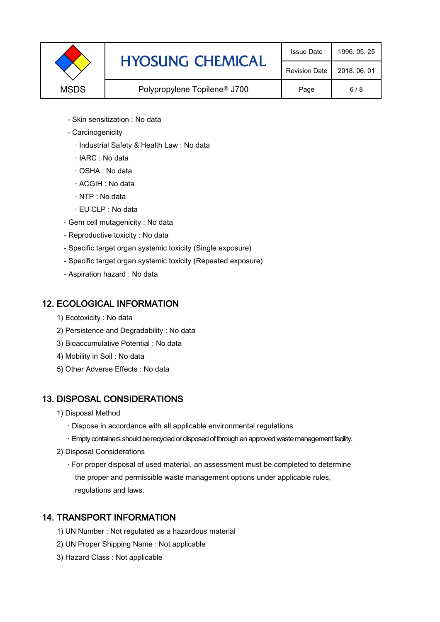|             | <b>HYOSUNG CHEMICAL</b>                  | <b>Issue Date</b>    | 1996, 05, 25 |
|-------------|------------------------------------------|----------------------|--------------|
|             |                                          | <b>Revision Date</b> | 2018, 06, 01 |
| <b>MSDS</b> | Polypropylene Topilene <sup>®</sup> J700 | Page                 | 6/8          |

- Skin sensitization : No data
- Carcinogenicity
	- · Industrial Safety & Health Law : No data
	- · IARC : No data
	- · OSHA : No data
	- · ACGIH : No data
	- · NTP : No data
	- · EU CLP : No data
- Gem cell mutagenicity : No data
- Reproductive toxicity : No data
- Specific target organ systemic toxicity (Single exposure)
- Specific target organ systemic toxicity (Repeated exposure)
- Aspiration hazard : No data

#### 12. ECOLOGICAL INFORMATION

- 1) Ecotoxicity : No data
- 2) Persistence and Degradability : No data
- 3) Bioaccumulative Potential : No data
- 4) Mobility in Soil : No data
- 5) Other Adverse Effects : No data

#### 13. DISPOSAL CONSIDERATIONS

- 1) Disposal Method
	- · Dispose in accordance with all applicable environmental regulations.
	- · Empty containers should be recycled or disposed of through an approved waste management facility.
- 2) Disposal Considerations
	- · For proper disposal of used material, an assessment must be completed to determine the proper and permissible waste management options under applicable rules, regulations and laws.

#### 14. TRANSPORT INFORMATION

- 1) UN Number : Not regulated as a hazardous material
- 2) UN Proper Shipping Name : Not applicable
- 3) Hazard Class : Not applicable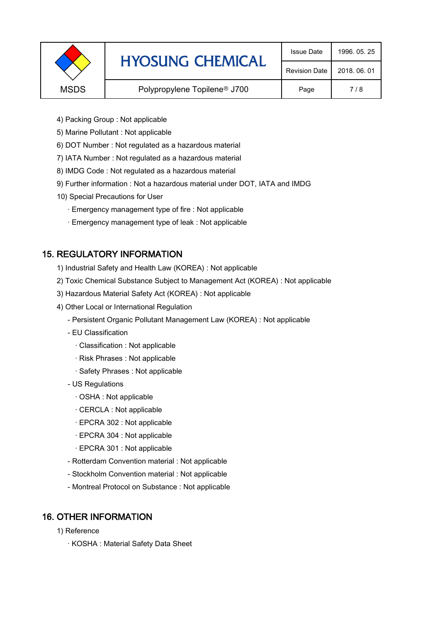|             | <b>HYOSUNG CHEMICAL</b>                  | <b>Issue Date</b>    | 1996, 05, 25 |
|-------------|------------------------------------------|----------------------|--------------|
|             |                                          | <b>Revision Date</b> | 2018, 06, 01 |
| <b>MSDS</b> | Polypropylene Topilene <sup>®</sup> J700 | Page                 | 7/8          |
|             |                                          |                      |              |

- 4) Packing Group : Not applicable
- 5) Marine Pollutant : Not applicable
- 6) DOT Number : Not regulated as a hazardous material
- 7) IATA Number : Not regulated as a hazardous material
- 8) IMDG Code : Not regulated as a hazardous material
- 9) Further information : Not a hazardous material under DOT, IATA and IMDG
- 10) Special Precautions for User
	- · Emergency management type of fire : Not applicable
	- · Emergency management type of leak : Not applicable

# 15. REGULATORY INFORMATION

- 1) Industrial Safety and Health Law (KOREA) : Not applicable
- 2) Toxic Chemical Substance Subject to Management Act (KOREA) : Not applicable
- 3) Hazardous Material Safety Act (KOREA) : Not applicable
- 4) Other Local or International Regulation
	- Persistent Organic Pollutant Management Law (KOREA) : Not applicable
	- EU Classification
		- · Classification : Not applicable
		- · Risk Phrases : Not applicable
		- · Safety Phrases : Not applicable
	- US Regulations
		- · OSHA : Not applicable
		- · CERCLA : Not applicable
		- · EPCRA 302 : Not applicable
		- · EPCRA 304 : Not applicable
		- · EPCRA 301 : Not applicable
	- Rotterdam Convention material : Not applicable
	- Stockholm Convention material : Not applicable
	- Montreal Protocol on Substance : Not applicable

#### 16. OTHER INFORMATION

- 1) Reference
	- · KOSHA : Material Safety Data Sheet